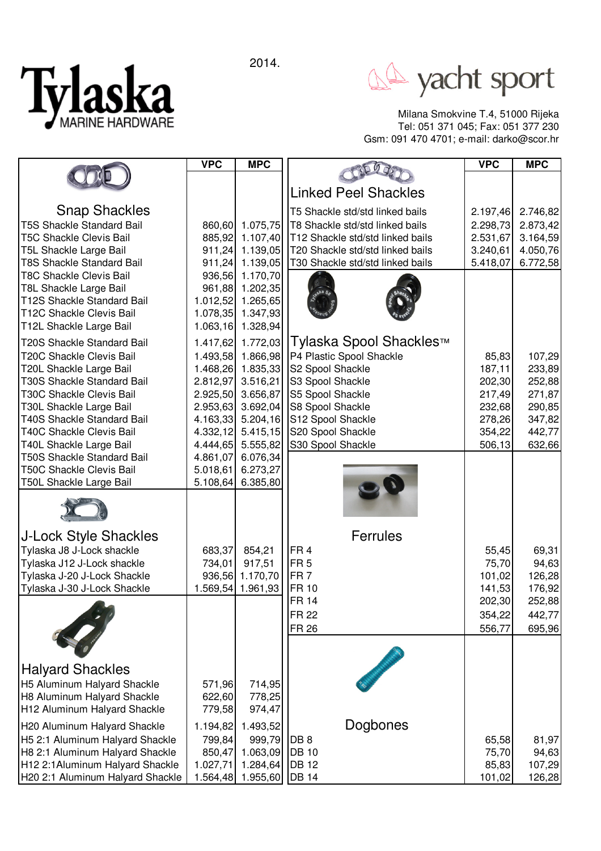2014.



A yacht sport

Milana Smokvine T.4, 51000 Rijeka Tel: 051 371 045; Fax: 051 377 230 Gsm: 091 470 4701; e-mail: darko@scor.hr

|                                                       | <b>VPC</b>           | <b>MPC</b>                    |                                        | <b>VPC</b>       | <b>MPC</b>       |
|-------------------------------------------------------|----------------------|-------------------------------|----------------------------------------|------------------|------------------|
|                                                       |                      |                               |                                        |                  |                  |
|                                                       |                      |                               | <b>Linked Peel Shackles</b>            |                  |                  |
| <b>Snap Shackles</b>                                  |                      |                               | T5 Shackle std/std linked bails        | 2.197,46         | 2.746,82         |
| <b>T5S Shackle Standard Bail</b>                      | 860,60               | 1.075,75                      | T8 Shackle std/std linked bails        | 2.298,73         | 2.873,42         |
| <b>T5C Shackle Clevis Bail</b>                        | 885,92               | 1.107,40                      | T12 Shackle std/std linked bails       | 2.531,67         | 3.164,59         |
| T5L Shackle Large Bail                                | 911,24               | 1.139,05                      | T20 Shackle std/std linked bails       | 3.240,61         | 4.050,76         |
| <b>T8S Shackle Standard Bail</b>                      | 911,24               | 1.139,05                      | T30 Shackle std/std linked bails       | 5.418,07         | 6.772,58         |
| <b>T8C Shackle Clevis Bail</b>                        | 936,56               | 1.170,70                      |                                        |                  |                  |
| T8L Shackle Large Bail<br>T12S Shackle Standard Bail  | 961,88               | 1.202,35                      |                                        |                  |                  |
| T12C Shackle Clevis Bail                              | 1.012,52<br>1.078,35 | 1.265,65<br>1.347,93          |                                        |                  |                  |
| T12L Shackle Large Bail                               | 1.063, 16            | 1.328,94                      |                                        |                  |                  |
| T20S Shackle Standard Bail                            | 1.417,62             | 1.772,03                      | Tylaska Spool Shackles™                |                  |                  |
| <b>T20C Shackle Clevis Bail</b>                       | 1.493,58             | 1.866,98                      | P4 Plastic Spool Shackle               | 85,83            | 107,29           |
| T20L Shackle Large Bail                               | 1.468,26             | 1.835,33                      | S2 Spool Shackle                       | 187,11           | 233,89           |
| T30S Shackle Standard Bail                            | 2.812,97             | 3.516,21                      | S3 Spool Shackle                       | 202,30           | 252,88           |
| <b>T30C Shackle Clevis Bail</b>                       | 2.925,50             | 3.656,87                      | S5 Spool Shackle                       | 217,49           | 271,87           |
| T30L Shackle Large Bail<br>T40S Shackle Standard Bail | 2.953,63             | 3.692,04                      | S8 Spool Shackle                       | 232,68           | 290,85           |
| T40C Shackle Clevis Bail                              | 4.332,12             | 4.163,33 5.204,16<br>5.415,15 | S12 Spool Shackle<br>S20 Spool Shackle | 278,26<br>354,22 | 347,82<br>442,77 |
| T40L Shackle Large Bail                               | 4.444,65             | 5.555,82                      | S30 Spool Shackle                      | 506,13           | 632,66           |
| <b>T50S Shackle Standard Bail</b>                     | 4.861,07             | 6.076,34                      |                                        |                  |                  |
| <b>T50C Shackle Clevis Bail</b>                       | 5.018,61             | 6.273,27                      |                                        |                  |                  |
| T50L Shackle Large Bail                               | 5.108,64             | 6.385,80                      |                                        |                  |                  |
|                                                       |                      |                               |                                        |                  |                  |
| <b>J-Lock Style Shackles</b>                          |                      |                               | Ferrules                               |                  |                  |
| Tylaska J8 J-Lock shackle                             | 683,37               | 854,21                        | FR <sub>4</sub>                        | 55,45            | 69,31            |
| Tylaska J12 J-Lock shackle                            | 734,01               | 917,51                        | FR <sub>5</sub>                        | 75,70            | 94,63            |
| Tylaska J-20 J-Lock Shackle                           | 936,56               | 1.170,70                      | FR <sub>7</sub>                        | 101,02           | 126,28           |
| Tylaska J-30 J-Lock Shackle                           |                      | 1.569,54 1.961,93             | <b>FR 10</b><br><b>FR 14</b>           | 141,53<br>202,30 | 176,92<br>252,88 |
|                                                       |                      |                               | FR 22                                  |                  | 442,77           |
|                                                       |                      |                               | <b>FR 26</b>                           | 354,22<br>556,77 | 695,96           |
|                                                       |                      |                               |                                        |                  |                  |
| <b>Halyard Shackles</b>                               |                      |                               |                                        |                  |                  |
| H5 Aluminum Halyard Shackle                           | 571,96               | 714,95                        |                                        |                  |                  |
| H8 Aluminum Halyard Shackle                           | 622,60               | 778,25                        |                                        |                  |                  |
| H12 Aluminum Halyard Shackle                          | 779,58               | 974,47                        |                                        |                  |                  |
| H20 Aluminum Halyard Shackle                          | 1.194,82             | 1.493,52                      | Dogbones                               |                  |                  |
| H5 2:1 Aluminum Halyard Shackle                       | 799,84               | 999,79                        | DB <sub>8</sub>                        | 65,58            | 81,97            |
| H8 2:1 Aluminum Halyard Shackle                       | 850,47               | 1.063,09                      | <b>DB</b> 10                           | 75,70            | 94,63            |
| H12 2:1Aluminum Halyard Shackle                       | 1.027,71             | 1.284,64                      | <b>DB</b> 12                           | 85,83            | 107,29           |
| H20 2:1 Aluminum Halyard Shackle                      | 1.564,48             | 1.955,60                      | <b>DB 14</b>                           | 101,02           | 126,28           |